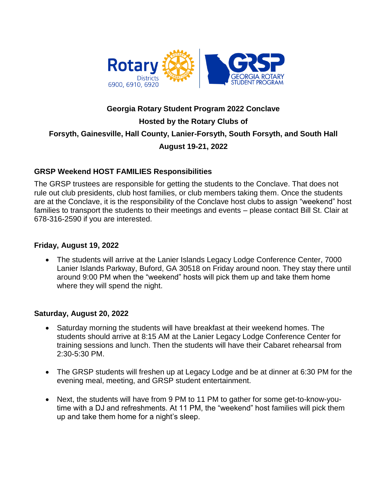

# **Georgia Rotary Student Program 2022 Conclave Hosted by the Rotary Clubs of Forsyth, Gainesville, Hall County, Lanier-Forsyth, South Forsyth, and South Hall August 19-21, 2022**

#### **GRSP Weekend HOST FAMILIES Responsibilities**

The GRSP trustees are responsible for getting the students to the Conclave. That does not rule out club presidents, club host families, or club members taking them. Once the students are at the Conclave, it is the responsibility of the Conclave host clubs to assign "weekend" host families to transport the students to their meetings and events – please contact Bill St. Clair at 678-316-2590 if you are interested.

#### **Friday, August 19, 2022**

• The students will arrive at the Lanier Islands Legacy Lodge Conference Center, 7000 Lanier Islands Parkway, Buford, GA 30518 on Friday around noon. They stay there until around 9:00 PM when the "weekend" hosts will pick them up and take them home where they will spend the night.

#### **Saturday, August 20, 2022**

- Saturday morning the students will have breakfast at their weekend homes. The students should arrive at 8:15 AM at the Lanier Legacy Lodge Conference Center for training sessions and lunch. Then the students will have their Cabaret rehearsal from 2:30-5:30 PM.
- The GRSP students will freshen up at Legacy Lodge and be at dinner at 6:30 PM for the evening meal, meeting, and GRSP student entertainment.
- Next, the students will have from 9 PM to 11 PM to gather for some get-to-know-youtime with a DJ and refreshments. At 11 PM, the "weekend" host families will pick them up and take them home for a night's sleep.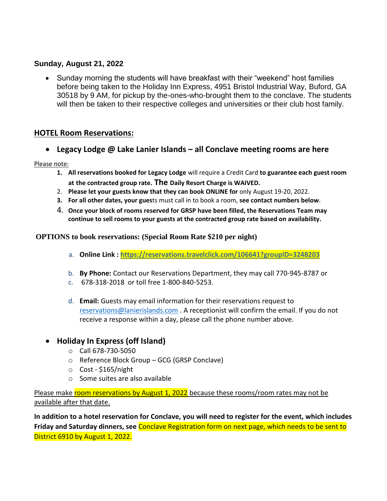## **Sunday, August 21, 2022**

 Sunday morning the students will have breakfast with their "weekend" host families before being taken to the Holiday Inn Express, 4951 Bristol Industrial Way, Buford, GA 30518 by 9 AM, for pickup by the-ones-who-brought them to the conclave. The students will then be taken to their respective colleges and universities or their club host family.

## **HOTEL Room Reservations:**

**Legacy Lodge @ Lake Lanier Islands – all Conclave meeting rooms are here**

Please note:

- **1. All reservations booked for Legacy Lodge** will require a Credit Card **to guarantee each guest room at the contracted group rate. The Daily Resort Charge is WAIVED.**
- 2. **Please let your guests know that they can book ONLINE for** only August 19-20, 2022.
- **3. For all other dates, your gues**ts must call in to book a room, **see contact numbers below**.
- 4. **Once your block of rooms reserved for GRSP have been filled, the Reservations Team may continue to sell rooms to your guests at the contracted group rate based on availability.**

**OPTIONS to book reservations: (Special Room Rate \$210 per night)**

- a. **Online Link :<https://reservations.travelclick.com/106641?groupID=3248203>**
- b. **By Phone:** Contact our Reservations Department, they may call 770-945-8787 or
- c. 678-318-2018 or toll free 1-800-840-5253.
- d. **Email:** Guests may email information for their reservations request to [reservations@lanierislands.com](mailto:reservations@lanierislands.com) . A receptionist will confirm the email. If you do not receive a response within a day, please call the phone number above.
- **Holiday In Express (off Island)**
	- o Call 678-730-5050
	- o Reference Block Group GCG (GRSP Conclave)
	- o Cost \$165/night
	- o Some suites are also available

Please make room reservations by August 1, 2022 because these rooms/room rates may not be available after that date.

**In addition to a hotel reservation for Conclave, you will need to register for the event, which includes Friday and Saturday dinners, see** Conclave Registration form on next page, which needs to be sent to District 6910 by August 1, 2022.